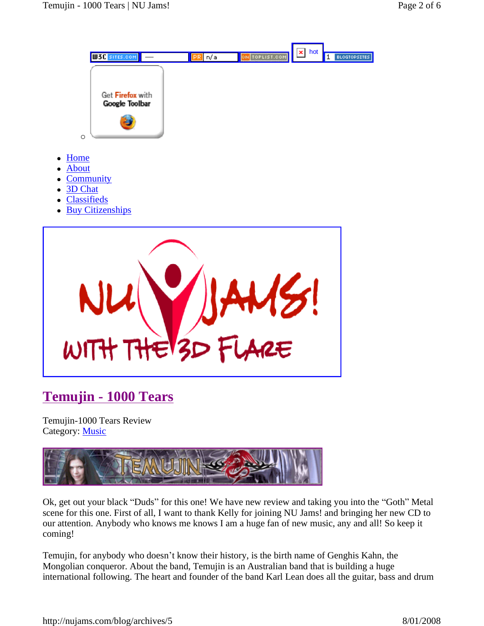

## **Temujin - 1000 Tears**

Temujin-1000 Tears Review Category: Music



Ok, get out your black "Duds" for this one! We have new review and taking you into the "Goth" Metal scene for this one. First of all, I want to thank Kelly for joining NU Jams! and bringing her new CD to our attention. Anybody who knows me knows I am a huge fan of new music, any and all! So keep it coming!

Temujin, for anybody who doesn't know their history, is the birth name of Genghis Kahn, the Mongolian conqueror. About the band, Temujin is an Australian band that is building a huge international following. The heart and founder of the band Karl Lean does all the guitar, bass and drum